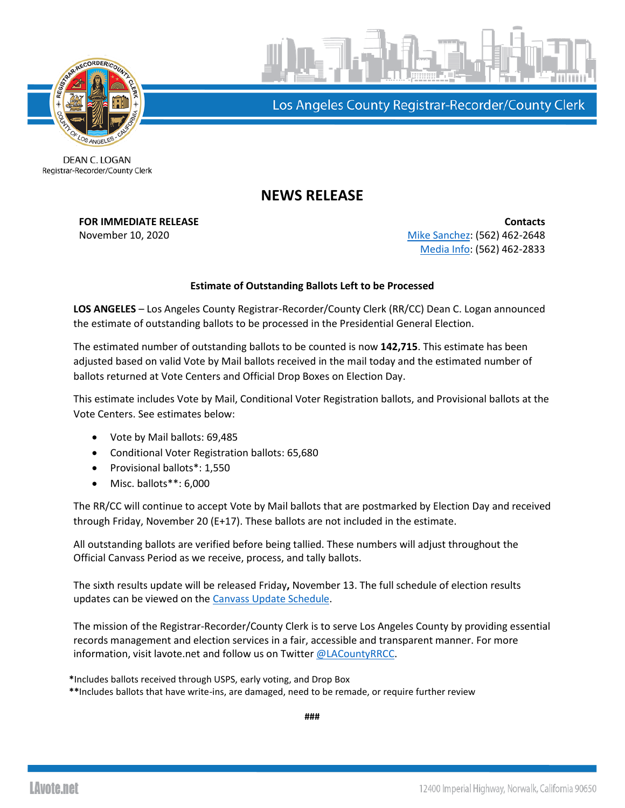



Los Angeles County Registrar-Recorder/County Clerk

DEAN C. LOGAN Registrar-Recorder/County Clerk

## **NEWS RELEASE**

**FOR IMMEDIATE RELEASE CONTACTS** November 10, 2020 **[Mike Sanchez:](mailto:msanchez@rrcc.lacounty.gov)** (562) 462-2648 [Media Info:](mailto:mediainfo@rrcc.lacounty.gov) (562) 462-2833

## **Estimate of Outstanding Ballots Left to be Processed**

**LOS ANGELES** – Los Angeles County Registrar-Recorder/County Clerk (RR/CC) Dean C. Logan announced the estimate of outstanding ballots to be processed in the Presidential General Election.

The estimated number of outstanding ballots to be counted is now **142,715**. This estimate has been adjusted based on valid Vote by Mail ballots received in the mail today and the estimated number of ballots returned at Vote Centers and Official Drop Boxes on Election Day.

This estimate includes Vote by Mail, Conditional Voter Registration ballots, and Provisional ballots at the Vote Centers. See estimates below:

- Vote by Mail ballots: 69,485
- Conditional Voter Registration ballots: 65,680
- Provisional ballots\*: 1,550
- Misc. ballots\*\*: 6,000

The RR/CC will continue to accept Vote by Mail ballots that are postmarked by Election Day and received through Friday, November 20 (E+17). These ballots are not included in the estimate.

All outstanding ballots are verified before being tallied. These numbers will adjust throughout the Official Canvass Period as we receive, process, and tally ballots.

The sixth results update will be released Friday**,** November 13. The full schedule of election results updates can be viewed on the [Canvass Update Schedule.](https://lavote.net/docs/rrcc/election-info/11032020_canvass-update-schedule.pdf?v=2)

The mission of the Registrar-Recorder/County Clerk is to serve Los Angeles County by providing essential records management and election services in a fair, accessible and transparent manner. For more information, visit lavote.net and follow us on Twitter [@LACountyRRCC.](https://twitter.com/LACountyRRCC)

**\***Includes ballots received through USPS, early voting, and Drop Box

**\*\***Includes ballots that have write-ins, are damaged, need to be remade, or require further review

**###**

**LAvote.net**